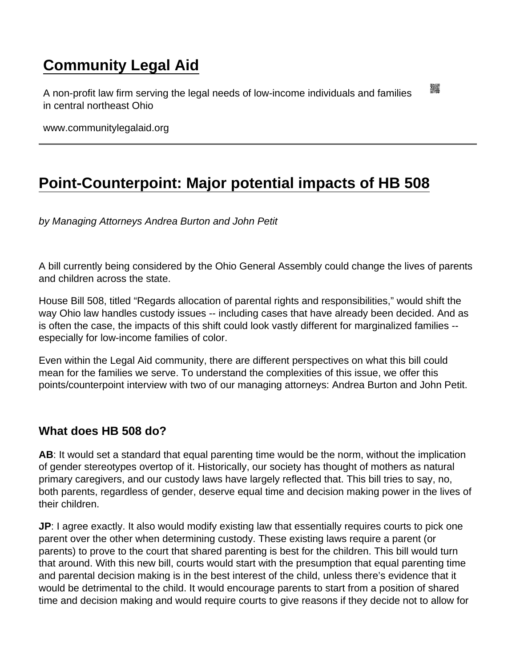# [Community Legal Aid](https://www.communitylegalaid.org/)

A non-profit law firm serving the legal needs of low-income individuals and families in central northeast Ohio

www.communitylegalaid.org

# [Point-Counterpoint: Major potential impacts of HB 508](https://www.communitylegalaid.org/node/1712/point-counterpoint-major-potential-impacts-hb-508)

by Managing Attorneys Andrea Burton and John Petit

A bill currently being considered by the Ohio General Assembly could change the lives of parents and children across the state.

House Bill 508, titled "Regards allocation of parental rights and responsibilities," would shift the way Ohio law handles custody issues -- including cases that have already been decided. And as is often the case, the impacts of this shift could look vastly different for marginalized families - especially for low-income families of color.

Even within the Legal Aid community, there are different perspectives on what this bill could mean for the families we serve. To understand the complexities of this issue, we offer this points/counterpoint interview with two of our managing attorneys: Andrea Burton and John Petit.

What does HB 508 do?

AB: It would set a standard that equal parenting time would be the norm, without the implication of gender stereotypes overtop of it. Historically, our society has thought of mothers as natural primary caregivers, and our custody laws have largely reflected that. This bill tries to say, no, both parents, regardless of gender, deserve equal time and decision making power in the lives of their children.

JP: I agree exactly. It also would modify existing law that essentially requires courts to pick one parent over the other when determining custody. These existing laws require a parent (or parents) to prove to the court that shared parenting is best for the children. This bill would turn that around. With this new bill, courts would start with the presumption that equal parenting time and parental decision making is in the best interest of the child, unless there's evidence that it would be detrimental to the child. It would encourage parents to start from a position of shared time and decision making and would require courts to give reasons if they decide not to allow for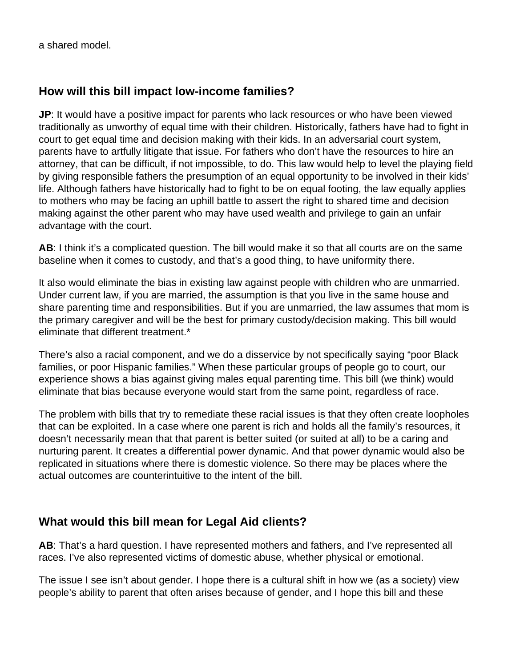a shared model.

#### **How will this bill impact low-income families?**

**JP**: It would have a positive impact for parents who lack resources or who have been viewed traditionally as unworthy of equal time with their children. Historically, fathers have had to fight in court to get equal time and decision making with their kids. In an adversarial court system, parents have to artfully litigate that issue. For fathers who don't have the resources to hire an attorney, that can be difficult, if not impossible, to do. This law would help to level the playing field by giving responsible fathers the presumption of an equal opportunity to be involved in their kids' life. Although fathers have historically had to fight to be on equal footing, the law equally applies to mothers who may be facing an uphill battle to assert the right to shared time and decision making against the other parent who may have used wealth and privilege to gain an unfair advantage with the court.

**AB**: I think it's a complicated question. The bill would make it so that all courts are on the same baseline when it comes to custody, and that's a good thing, to have uniformity there.

It also would eliminate the bias in existing law against people with children who are unmarried. Under current law, if you are married, the assumption is that you live in the same house and share parenting time and responsibilities. But if you are unmarried, the law assumes that mom is the primary caregiver and will be the best for primary custody/decision making. This bill would eliminate that different treatment.\*

There's also a racial component, and we do a disservice by not specifically saying "poor Black families, or poor Hispanic families." When these particular groups of people go to court, our experience shows a bias against giving males equal parenting time. This bill (we think) would eliminate that bias because everyone would start from the same point, regardless of race.

The problem with bills that try to remediate these racial issues is that they often create loopholes that can be exploited. In a case where one parent is rich and holds all the family's resources, it doesn't necessarily mean that that parent is better suited (or suited at all) to be a caring and nurturing parent. It creates a differential power dynamic. And that power dynamic would also be replicated in situations where there is domestic violence. So there may be places where the actual outcomes are counterintuitive to the intent of the bill.

#### **What would this bill mean for Legal Aid clients?**

**AB**: That's a hard question. I have represented mothers and fathers, and I've represented all races. I've also represented victims of domestic abuse, whether physical or emotional.

The issue I see isn't about gender. I hope there is a cultural shift in how we (as a society) view people's ability to parent that often arises because of gender, and I hope this bill and these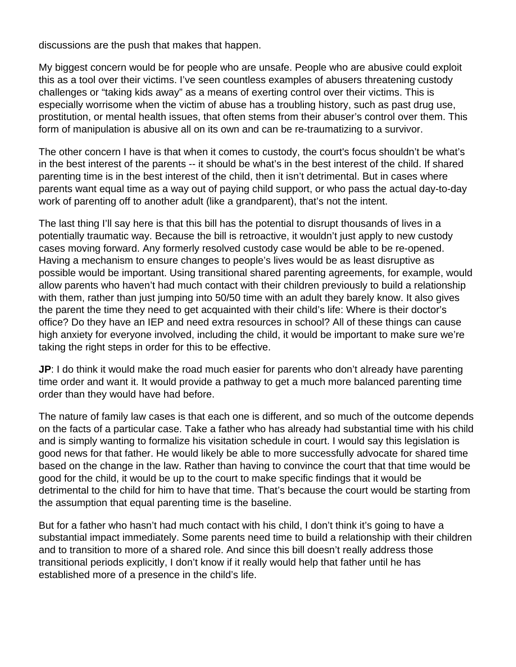discussions are the push that makes that happen.

My biggest concern would be for people who are unsafe. People who are abusive could exploit this as a tool over their victims. I've seen countless examples of abusers threatening custody challenges or "taking kids away" as a means of exerting control over their victims. This is especially worrisome when the victim of abuse has a troubling history, such as past drug use, prostitution, or mental health issues, that often stems from their abuser's control over them. This form of manipulation is abusive all on its own and can be re-traumatizing to a survivor.

The other concern I have is that when it comes to custody, the court's focus shouldn't be what's in the best interest of the parents -- it should be what's in the best interest of the child. If shared parenting time is in the best interest of the child, then it isn't detrimental. But in cases where parents want equal time as a way out of paying child support, or who pass the actual day-to-day work of parenting off to another adult (like a grandparent), that's not the intent.

The last thing I'll say here is that this bill has the potential to disrupt thousands of lives in a potentially traumatic way. Because the bill is retroactive, it wouldn't just apply to new custody cases moving forward. Any formerly resolved custody case would be able to be re-opened. Having a mechanism to ensure changes to people's lives would be as least disruptive as possible would be important. Using transitional shared parenting agreements, for example, would allow parents who haven't had much contact with their children previously to build a relationship with them, rather than just jumping into 50/50 time with an adult they barely know. It also gives the parent the time they need to get acquainted with their child's life: Where is their doctor's office? Do they have an IEP and need extra resources in school? All of these things can cause high anxiety for everyone involved, including the child, it would be important to make sure we're taking the right steps in order for this to be effective.

**JP**: I do think it would make the road much easier for parents who don't already have parenting time order and want it. It would provide a pathway to get a much more balanced parenting time order than they would have had before.

The nature of family law cases is that each one is different, and so much of the outcome depends on the facts of a particular case. Take a father who has already had substantial time with his child and is simply wanting to formalize his visitation schedule in court. I would say this legislation is good news for that father. He would likely be able to more successfully advocate for shared time based on the change in the law. Rather than having to convince the court that that time would be good for the child, it would be up to the court to make specific findings that it would be detrimental to the child for him to have that time. That's because the court would be starting from the assumption that equal parenting time is the baseline.

But for a father who hasn't had much contact with his child, I don't think it's going to have a substantial impact immediately. Some parents need time to build a relationship with their children and to transition to more of a shared role. And since this bill doesn't really address those transitional periods explicitly, I don't know if it really would help that father until he has established more of a presence in the child's life.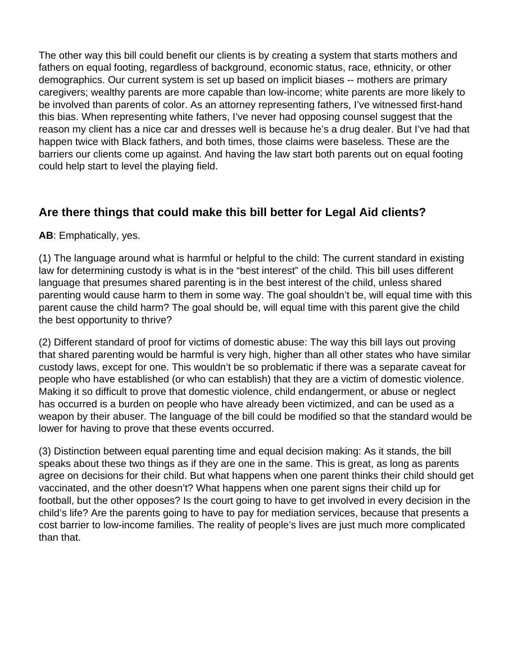The other way this bill could benefit our clients is by creating a system that starts mothers and fathers on equal footing, regardless of background, economic status, race, ethnicity, or other demographics. Our current system is set up based on implicit biases -- mothers are primary caregivers; wealthy parents are more capable than low-income; white parents are more likely to be involved than parents of color. As an attorney representing fathers, I've witnessed first-hand this bias. When representing white fathers, I've never had opposing counsel suggest that the reason my client has a nice car and dresses well is because he's a drug dealer. But I've had that happen twice with Black fathers, and both times, those claims were baseless. These are the barriers our clients come up against. And having the law start both parents out on equal footing could help start to level the playing field.

### **Are there things that could make this bill better for Legal Aid clients?**

#### **AB**: Emphatically, yes.

(1) The language around what is harmful or helpful to the child: The current standard in existing law for determining custody is what is in the "best interest" of the child. This bill uses different language that presumes shared parenting is in the best interest of the child, unless shared parenting would cause harm to them in some way. The goal shouldn't be, will equal time with this parent cause the child harm? The goal should be, will equal time with this parent give the child the best opportunity to thrive?

(2) Different standard of proof for victims of domestic abuse: The way this bill lays out proving that shared parenting would be harmful is very high, higher than all other states who have similar custody laws, except for one. This wouldn't be so problematic if there was a separate caveat for people who have established (or who can establish) that they are a victim of domestic violence. Making it so difficult to prove that domestic violence, child endangerment, or abuse or neglect has occurred is a burden on people who have already been victimized, and can be used as a weapon by their abuser. The language of the bill could be modified so that the standard would be lower for having to prove that these events occurred.

(3) Distinction between equal parenting time and equal decision making: As it stands, the bill speaks about these two things as if they are one in the same. This is great, as long as parents agree on decisions for their child. But what happens when one parent thinks their child should get vaccinated, and the other doesn't? What happens when one parent signs their child up for football, but the other opposes? Is the court going to have to get involved in every decision in the child's life? Are the parents going to have to pay for mediation services, because that presents a cost barrier to low-income families. The reality of people's lives are just much more complicated than that.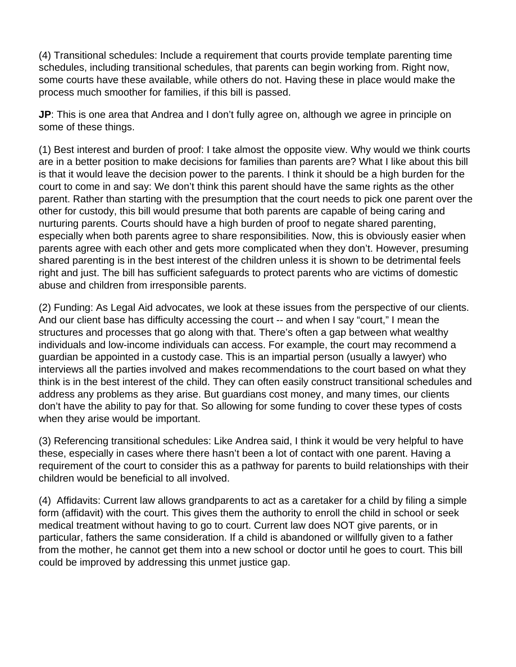(4) Transitional schedules: Include a requirement that courts provide template parenting time schedules, including transitional schedules, that parents can begin working from. Right now, some courts have these available, while others do not. Having these in place would make the process much smoother for families, if this bill is passed.

**JP**: This is one area that Andrea and I don't fully agree on, although we agree in principle on some of these things.

(1) Best interest and burden of proof: I take almost the opposite view. Why would we think courts are in a better position to make decisions for families than parents are? What I like about this bill is that it would leave the decision power to the parents. I think it should be a high burden for the court to come in and say: We don't think this parent should have the same rights as the other parent. Rather than starting with the presumption that the court needs to pick one parent over the other for custody, this bill would presume that both parents are capable of being caring and nurturing parents. Courts should have a high burden of proof to negate shared parenting, especially when both parents agree to share responsibilities. Now, this is obviously easier when parents agree with each other and gets more complicated when they don't. However, presuming shared parenting is in the best interest of the children unless it is shown to be detrimental feels right and just. The bill has sufficient safeguards to protect parents who are victims of domestic abuse and children from irresponsible parents.

(2) Funding: As Legal Aid advocates, we look at these issues from the perspective of our clients. And our client base has difficulty accessing the court -- and when I say "court," I mean the structures and processes that go along with that. There's often a gap between what wealthy individuals and low-income individuals can access. For example, the court may recommend a guardian be appointed in a custody case. This is an impartial person (usually a lawyer) who interviews all the parties involved and makes recommendations to the court based on what they think is in the best interest of the child. They can often easily construct transitional schedules and address any problems as they arise. But guardians cost money, and many times, our clients don't have the ability to pay for that. So allowing for some funding to cover these types of costs when they arise would be important.

(3) Referencing transitional schedules: Like Andrea said, I think it would be very helpful to have these, especially in cases where there hasn't been a lot of contact with one parent. Having a requirement of the court to consider this as a pathway for parents to build relationships with their children would be beneficial to all involved.

(4) Affidavits: Current law allows grandparents to act as a caretaker for a child by filing a simple form (affidavit) with the court. This gives them the authority to enroll the child in school or seek medical treatment without having to go to court. Current law does NOT give parents, or in particular, fathers the same consideration. If a child is abandoned or willfully given to a father from the mother, he cannot get them into a new school or doctor until he goes to court. This bill could be improved by addressing this unmet justice gap.